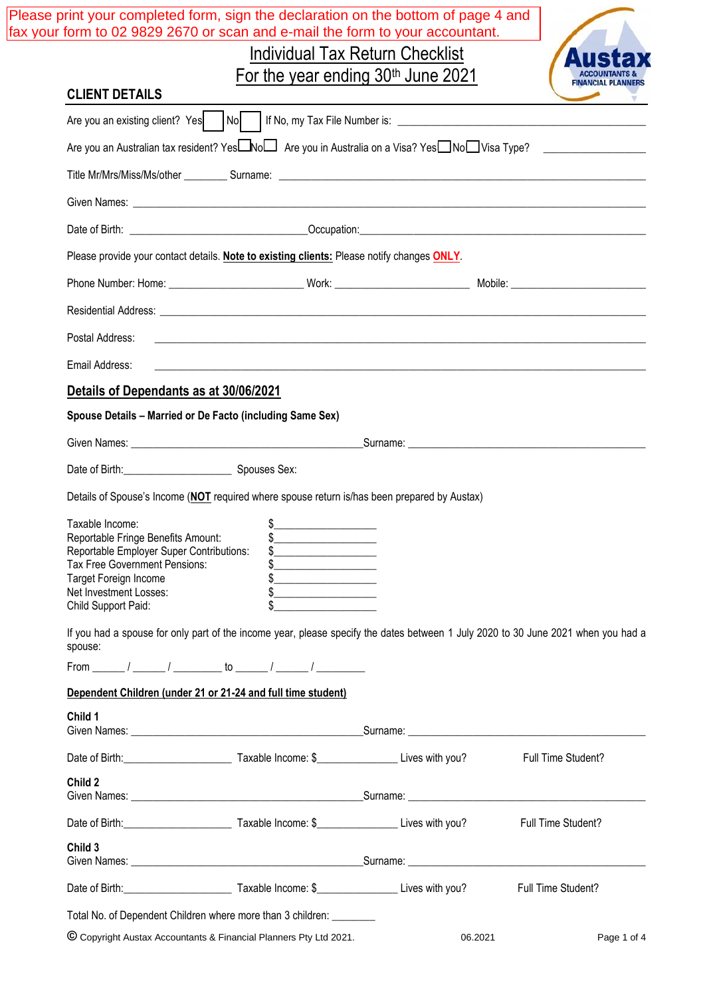|                                                           |                                                                                                                                                                                                                                                                                                                                                                                                                                                                                   | <b>Individual Tax Return Checklist</b>         |                    |
|-----------------------------------------------------------|-----------------------------------------------------------------------------------------------------------------------------------------------------------------------------------------------------------------------------------------------------------------------------------------------------------------------------------------------------------------------------------------------------------------------------------------------------------------------------------|------------------------------------------------|--------------------|
|                                                           |                                                                                                                                                                                                                                                                                                                                                                                                                                                                                   | For the year ending 30 <sup>th</sup> June 2021 |                    |
| <b>CLIENT DETAILS</b>                                     |                                                                                                                                                                                                                                                                                                                                                                                                                                                                                   |                                                |                    |
|                                                           |                                                                                                                                                                                                                                                                                                                                                                                                                                                                                   |                                                |                    |
|                                                           | Are you an Australian tax resident? Yes <b>□No</b> □ Are you in Australia on a Visa? Yes□No□Visa Type? ________________                                                                                                                                                                                                                                                                                                                                                           |                                                |                    |
|                                                           |                                                                                                                                                                                                                                                                                                                                                                                                                                                                                   |                                                |                    |
|                                                           |                                                                                                                                                                                                                                                                                                                                                                                                                                                                                   |                                                |                    |
|                                                           |                                                                                                                                                                                                                                                                                                                                                                                                                                                                                   |                                                |                    |
|                                                           | Please provide your contact details. Note to existing clients: Please notify changes ONLY.                                                                                                                                                                                                                                                                                                                                                                                        |                                                |                    |
|                                                           |                                                                                                                                                                                                                                                                                                                                                                                                                                                                                   |                                                |                    |
|                                                           |                                                                                                                                                                                                                                                                                                                                                                                                                                                                                   |                                                |                    |
| Postal Address:                                           |                                                                                                                                                                                                                                                                                                                                                                                                                                                                                   |                                                |                    |
| Email Address:                                            |                                                                                                                                                                                                                                                                                                                                                                                                                                                                                   |                                                |                    |
| Details of Dependants as at 30/06/2021                    |                                                                                                                                                                                                                                                                                                                                                                                                                                                                                   |                                                |                    |
| Spouse Details - Married or De Facto (including Same Sex) |                                                                                                                                                                                                                                                                                                                                                                                                                                                                                   |                                                |                    |
|                                                           |                                                                                                                                                                                                                                                                                                                                                                                                                                                                                   |                                                |                    |
| Date of Birth: Spouses Sex:                               |                                                                                                                                                                                                                                                                                                                                                                                                                                                                                   |                                                |                    |
|                                                           | Details of Spouse's Income (NOT required where spouse return is/has been prepared by Austax)                                                                                                                                                                                                                                                                                                                                                                                      |                                                |                    |
| Taxable Income:<br>Reportable Fringe Benefits Amount:     |                                                                                                                                                                                                                                                                                                                                                                                                                                                                                   |                                                |                    |
| Reportable Employer Super Contributions:                  |                                                                                                                                                                                                                                                                                                                                                                                                                                                                                   |                                                |                    |
| Tax Free Government Pensions:<br>Target Foreign Income    | $\begin{array}{c c} \n\multicolumn{3}{c }{\textbf{\$}} & \multicolumn{3}{c }{\textbf{\$}} \\ \n\multicolumn{3}{c }{\textbf{\$}} & \multicolumn{3}{c }{\textbf{\$}} \\ \n\multicolumn{3}{c }{\textbf{\$}} & \multicolumn{3}{c }{\textbf{\$}} \\ \n\multicolumn{3}{c }{\textbf{\$}} & \multicolumn{3}{c }{\textbf{\$}} \\ \n\multicolumn{3}{c }{\textbf{\$}} & \multicolumn{3}{c }{\textbf{\$}} \\ \n\multicolumn{3}{c }{\textbf{\$}} & \multicolumn{3}{c }{\text$<br>$\frac{1}{2}$ |                                                |                    |
| Net Investment Losses:<br>Child Support Paid:             | $\frac{1}{2}$ $\frac{1}{2}$ $\frac{1}{2}$ $\frac{1}{2}$ $\frac{1}{2}$ $\frac{1}{2}$ $\frac{1}{2}$ $\frac{1}{2}$ $\frac{1}{2}$ $\frac{1}{2}$ $\frac{1}{2}$ $\frac{1}{2}$ $\frac{1}{2}$ $\frac{1}{2}$ $\frac{1}{2}$ $\frac{1}{2}$ $\frac{1}{2}$ $\frac{1}{2}$ $\frac{1}{2}$ $\frac{1}{2}$ $\frac{1}{2}$ $\frac{1}{2}$<br>$\frac{1}{2}$                                                                                                                                              |                                                |                    |
|                                                           | If you had a spouse for only part of the income year, please specify the dates between 1 July 2020 to 30 June 2021 when you had a                                                                                                                                                                                                                                                                                                                                                 |                                                |                    |
|                                                           |                                                                                                                                                                                                                                                                                                                                                                                                                                                                                   |                                                |                    |
| spouse:                                                   |                                                                                                                                                                                                                                                                                                                                                                                                                                                                                   |                                                |                    |
|                                                           |                                                                                                                                                                                                                                                                                                                                                                                                                                                                                   |                                                |                    |
| Child 1                                                   | Dependent Children (under 21 or 21-24 and full time student)                                                                                                                                                                                                                                                                                                                                                                                                                      |                                                |                    |
|                                                           |                                                                                                                                                                                                                                                                                                                                                                                                                                                                                   |                                                |                    |
|                                                           |                                                                                                                                                                                                                                                                                                                                                                                                                                                                                   |                                                | Full Time Student? |
| Child 2                                                   |                                                                                                                                                                                                                                                                                                                                                                                                                                                                                   |                                                |                    |
|                                                           |                                                                                                                                                                                                                                                                                                                                                                                                                                                                                   |                                                |                    |
| Child 3                                                   |                                                                                                                                                                                                                                                                                                                                                                                                                                                                                   |                                                | Full Time Student? |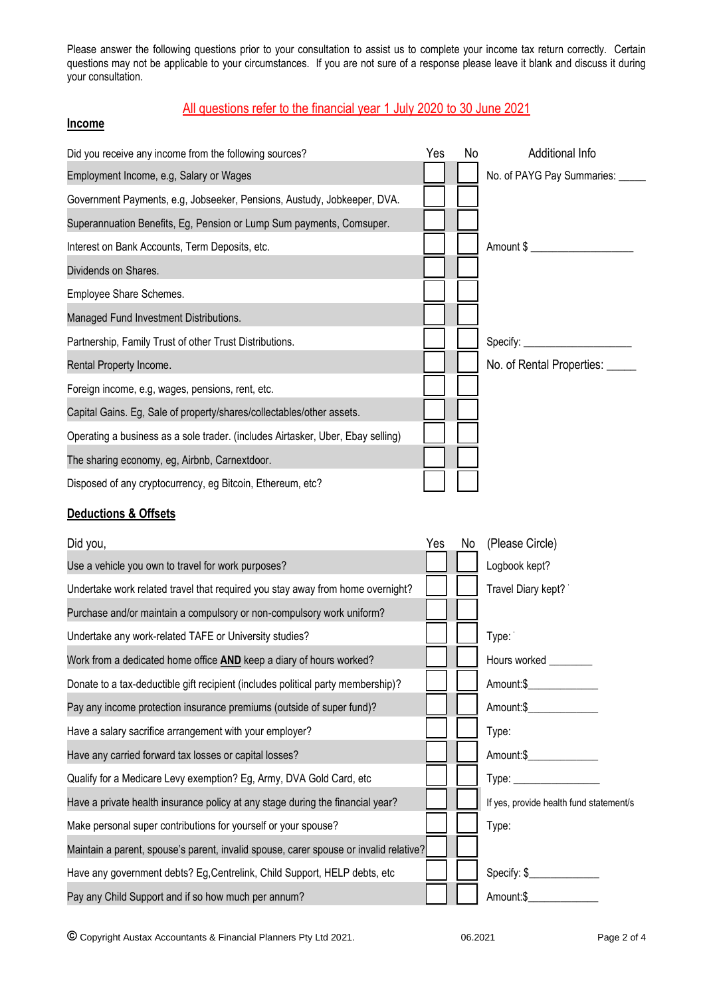Please answer the following questions prior to your consultation to assist us to complete your income tax return correctly. Certain questions may not be applicable to your circumstances. If you are not sure of a response please leave it blank and discuss it during your consultation.

# All questions refer to the financial year 1 July 2020 to 30 June 2021

#### **Income**

| Did you receive any income from the following sources?                          | Yes | No. | Additional Info                  |
|---------------------------------------------------------------------------------|-----|-----|----------------------------------|
| Employment Income, e.g, Salary or Wages                                         |     |     | No. of PAYG Pay Summaries: _____ |
| Government Payments, e.g, Jobseeker, Pensions, Austudy, Jobkeeper, DVA.         |     |     |                                  |
| Superannuation Benefits, Eg, Pension or Lump Sum payments, Comsuper.            |     |     |                                  |
| Interest on Bank Accounts, Term Deposits, etc.                                  |     |     | Amount \$                        |
| Dividends on Shares.                                                            |     |     |                                  |
| Employee Share Schemes.                                                         |     |     |                                  |
| Managed Fund Investment Distributions.                                          |     |     |                                  |
| Partnership, Family Trust of other Trust Distributions.                         |     |     |                                  |
| Rental Property Income.                                                         |     |     | No. of Rental Properties: _____  |
| Foreign income, e.g, wages, pensions, rent, etc.                                |     |     |                                  |
| Capital Gains. Eg, Sale of property/shares/collectables/other assets.           |     |     |                                  |
| Operating a business as a sole trader. (includes Airtasker, Uber, Ebay selling) |     |     |                                  |
| The sharing economy, eg, Airbnb, Carnextdoor.                                   |     |     |                                  |
| Disposed of any cryptocurrency, eg Bitcoin, Ethereum, etc?                      |     |     |                                  |

#### **Deductions & Offsets**

| Did you,                                                                              | Yes | No | (Please Circle)                         |
|---------------------------------------------------------------------------------------|-----|----|-----------------------------------------|
| Use a vehicle you own to travel for work purposes?                                    |     |    | Logbook kept?                           |
| Undertake work related travel that required you stay away from home overnight?        |     |    | Travel Diary kept?                      |
| Purchase and/or maintain a compulsory or non-compulsory work uniform?                 |     |    |                                         |
| Undertake any work-related TAFE or University studies?                                |     |    | Type:                                   |
| Work from a dedicated home office <b>AND</b> keep a diary of hours worked?            |     |    | Hours worked                            |
| Donate to a tax-deductible gift recipient (includes political party membership)?      |     |    | Amount:\$                               |
| Pay any income protection insurance premiums (outside of super fund)?                 |     |    | Amount:\$                               |
| Have a salary sacrifice arrangement with your employer?                               |     |    | Type:                                   |
| Have any carried forward tax losses or capital losses?                                |     |    | Amount:\$                               |
| Qualify for a Medicare Levy exemption? Eg, Army, DVA Gold Card, etc                   |     |    |                                         |
| Have a private health insurance policy at any stage during the financial year?        |     |    | If yes, provide health fund statement/s |
| Make personal super contributions for yourself or your spouse?                        |     |    | Type:                                   |
| Maintain a parent, spouse's parent, invalid spouse, carer spouse or invalid relative? |     |    |                                         |
| Have any government debts? Eg, Centrelink, Child Support, HELP debts, etc             |     |    | Specify: \$_                            |
| Pay any Child Support and if so how much per annum?                                   |     |    | Amount:\$                               |

© Copyright Austax Accountants & Financial Planners Pty Ltd 2021. 06.2021 Page 2 of 4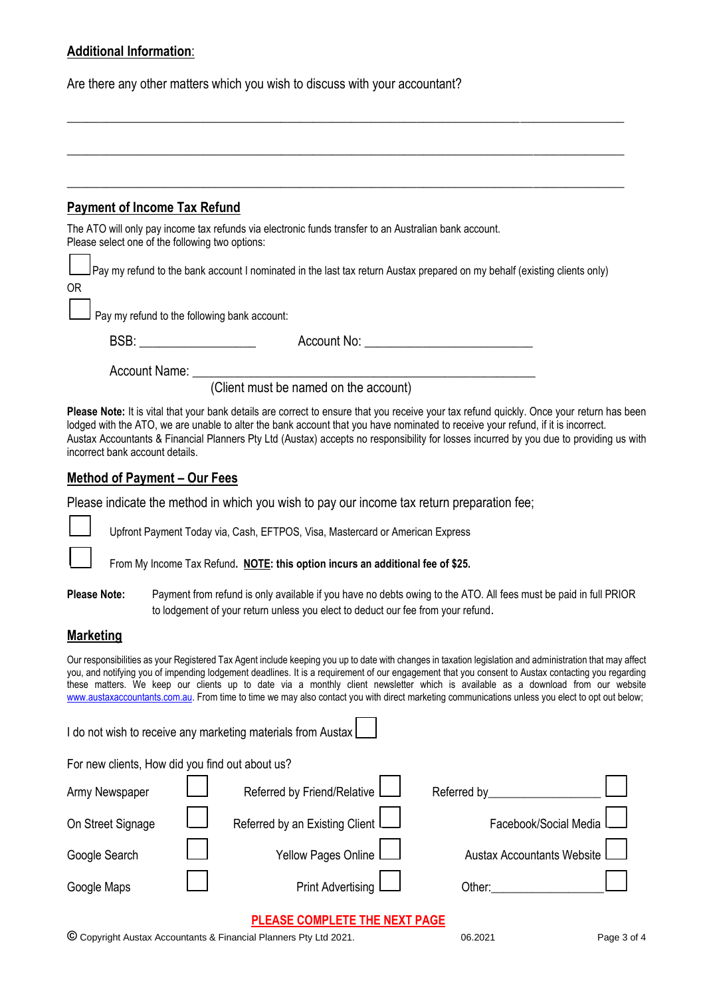# **Additional Information**:

Are there any other matters which you wish to discuss with your accountant?

| <b>Payment of Income Tax Refund</b>                                                                                                                      |                                                                                                                                                                                                                                           |
|----------------------------------------------------------------------------------------------------------------------------------------------------------|-------------------------------------------------------------------------------------------------------------------------------------------------------------------------------------------------------------------------------------------|
| The ATO will only pay income tax refunds via electronic funds transfer to an Australian bank account.<br>Please select one of the following two options: |                                                                                                                                                                                                                                           |
|                                                                                                                                                          | Pay my refund to the bank account I nominated in the last tax return Austax prepared on my behalf (existing clients only)                                                                                                                 |
| ΟR                                                                                                                                                       |                                                                                                                                                                                                                                           |
| $\Box$ Pay my refund to the following bank account:                                                                                                      |                                                                                                                                                                                                                                           |
|                                                                                                                                                          | Account No: <u>________________________</u>                                                                                                                                                                                               |
|                                                                                                                                                          | $\mathcal{L} = \mathcal{L}$ . The contract of the contract of the contract of the contract of the contract of the contract of the contract of the contract of the contract of the contract of the contract of the contract of the contrac |

\_\_\_\_\_\_\_\_\_\_\_\_\_\_\_\_\_\_\_\_\_\_\_\_\_\_\_\_\_\_\_\_\_\_\_\_\_\_\_\_\_\_\_\_\_\_\_\_\_\_\_\_\_\_\_\_\_\_\_\_\_\_\_\_\_\_\_\_\_\_\_\_\_\_\_\_\_\_\_\_\_\_\_\_\_\_

\_\_\_\_\_\_\_\_\_\_\_\_\_\_\_\_\_\_\_\_\_\_\_\_\_\_\_\_\_\_\_\_\_\_\_\_\_\_\_\_\_\_\_\_\_\_\_\_\_\_\_\_\_\_\_\_\_\_\_\_\_\_\_\_\_\_\_\_\_\_\_\_\_\_\_\_\_\_\_\_\_\_\_\_\_\_

(Client must be named on the account)

**Please Note:** It is vital that your bank details are correct to ensure that you receive your tax refund quickly. Once your return has been lodged with the ATO, we are unable to alter the bank account that you have nominated to receive your refund, if it is incorrect. Austax Accountants & Financial Planners Pty Ltd (Austax) accepts no responsibility for losses incurred by you due to providing us with incorrect bank account details.

## **Method of Payment – Our Fees**

Please indicate the method in which you wish to pay our income tax return preparation fee;

❑ Upfront Payment Today via, Cash, EFTPOS, Visa, Mastercard or American Express

From My Income Tax Refund. **NOTE: this option incurs an additional fee of \$25.** 

**Please Note:** Payment from refund is only available if you have no debts owing to the ATO. All fees must be paid in full PRIOR to lodgement of your return unless you elect to deduct our fee from your refund.

## **Marketing**

Our responsibilities as your Registered Tax Agent include keeping you up to date with changes in taxation legislation and administration that may affect you, and notifying you of impending lodgement deadlines. It is a requirement of our engagement that you consent to Austax contacting you regarding these matters. We keep our clients up to date via a monthly client newsletter which is available as a download from our website www.austaxaccountants.com.au. From time to time we may also contact you with direct marketing communications unless you elect to opt out below;

|                                                 |  | I do not wish to receive any marketing materials from Austax |                                   |  |  |  |
|-------------------------------------------------|--|--------------------------------------------------------------|-----------------------------------|--|--|--|
| For new clients, How did you find out about us? |  |                                                              |                                   |  |  |  |
| Army Newspaper                                  |  | Referred by Friend/Relative L                                | Referred by                       |  |  |  |
| On Street Signage                               |  | Referred by an Existing Client                               | Facebook/Social Media             |  |  |  |
| Google Search                                   |  | Yellow Pages Online L                                        | <b>Austax Accountants Website</b> |  |  |  |
| Google Maps                                     |  | <b>Print Advertising</b>                                     | Other:                            |  |  |  |

## **PLEASE COMPLETE THE NEXT PAGE**

© Copyright Austax Accountants & Financial Planners Pty Ltd 2021. 06.2021 Page 3 of 4